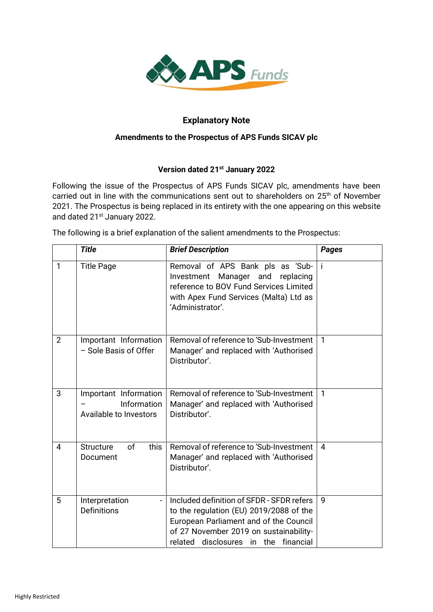

# **Explanatory Note**

#### **Amendments to the Prospectus of APS Funds SICAV plc**

## **Version dated 21st January 2022**

Following the issue of the Prospectus of APS Funds SICAV plc, amendments have been carried out in line with the communications sent out to shareholders on 25<sup>th</sup> of November 2021. The Prospectus is being replaced in its entirety with the one appearing on this website and dated 21<sup>st</sup> January 2022.

The following is a brief explanation of the salient amendments to the Prospectus:

|                | <b>Title</b>                                                     | <b>Brief Description</b>                                                                                                                                                                                         | <b>Pages</b>   |
|----------------|------------------------------------------------------------------|------------------------------------------------------------------------------------------------------------------------------------------------------------------------------------------------------------------|----------------|
| 1              | <b>Title Page</b>                                                | Removal of APS Bank pls as 'Sub-<br>Investment<br>Manager and replacing<br>reference to BOV Fund Services Limited<br>with Apex Fund Services (Malta) Ltd as<br>'Administrator'.                                  | -i             |
| $\overline{2}$ | Important Information<br>- Sole Basis of Offer                   | Removal of reference to 'Sub-Investment<br>Manager' and replaced with 'Authorised<br>Distributor'.                                                                                                               | $\mathbf{1}$   |
| 3              | Important Information<br>Information<br>Available to Investors   | Removal of reference to 'Sub-Investment<br>Manager' and replaced with 'Authorised<br>Distributor'.                                                                                                               | $\mathbf{1}$   |
| 4              | this<br><b>Structure</b><br>of<br>Document                       | Removal of reference to 'Sub-Investment<br>Manager' and replaced with 'Authorised<br>Distributor'.                                                                                                               | $\overline{4}$ |
| 5              | Interpretation<br>$\overline{\phantom{0}}$<br><b>Definitions</b> | Included definition of SFDR - SFDR refers<br>to the regulation (EU) 2019/2088 of the<br>European Parliament and of the Council<br>of 27 November 2019 on sustainability-<br>related disclosures in the financial | 9              |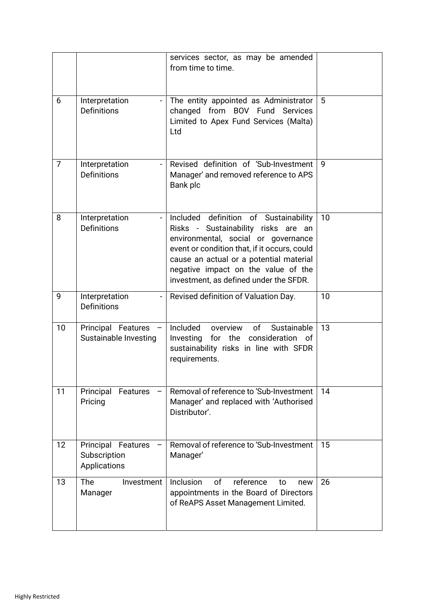|                |                                                                  | services sector, as may be amended<br>from time to time.                                                                                                                                                                                                                                        |    |
|----------------|------------------------------------------------------------------|-------------------------------------------------------------------------------------------------------------------------------------------------------------------------------------------------------------------------------------------------------------------------------------------------|----|
| 6              | Interpretation<br>Definitions                                    | The entity appointed as Administrator<br>changed from BOV Fund Services<br>Limited to Apex Fund Services (Malta)<br>Ltd                                                                                                                                                                         | 5  |
| $\overline{7}$ | Interpretation<br>Definitions                                    | Revised definition of 'Sub-Investment<br>Manager' and removed reference to APS<br>Bank plc                                                                                                                                                                                                      | 9  |
| 8              | Interpretation<br>$\overline{\phantom{a}}$<br><b>Definitions</b> | Included definition of Sustainability<br>Risks - Sustainability risks are an<br>environmental, social or governance<br>event or condition that, if it occurs, could<br>cause an actual or a potential material<br>negative impact on the value of the<br>investment, as defined under the SFDR. | 10 |
| 9              | Interpretation<br><b>Definitions</b>                             | Revised definition of Valuation Day.                                                                                                                                                                                                                                                            | 10 |
| 10             | Principal Features<br>Sustainable Investing                      | Included<br>of<br>Sustainable<br>overview<br>Investing for the consideration of<br>sustainability risks in line with SFDR<br>requirements.                                                                                                                                                      | 13 |
| 11             | Principal<br>Features<br>Pricing                                 | Removal of reference to 'Sub-Investment                                                                                                                                                                                                                                                         | 14 |
|                |                                                                  | Manager' and replaced with 'Authorised<br>Distributor'.                                                                                                                                                                                                                                         |    |
| 12             | Principal Features<br>Subscription<br>Applications               | Removal of reference to 'Sub-Investment<br>Manager'                                                                                                                                                                                                                                             | 15 |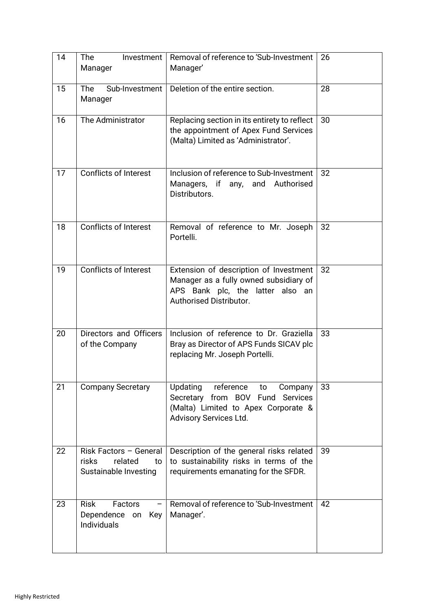| 14 | The<br>Investment<br>Manager                                                     | Removal of reference to 'Sub-Investment<br>Manager'                                                                                                   | 26 |
|----|----------------------------------------------------------------------------------|-------------------------------------------------------------------------------------------------------------------------------------------------------|----|
| 15 | <b>The</b><br>Sub-Investment<br>Manager                                          | Deletion of the entire section.                                                                                                                       | 28 |
| 16 | The Administrator                                                                | Replacing section in its entirety to reflect<br>the appointment of Apex Fund Services<br>(Malta) Limited as 'Administrator'.                          | 30 |
| 17 | <b>Conflicts of Interest</b>                                                     | Inclusion of reference to Sub-Investment<br>Managers, if any, and Authorised<br>Distributors.                                                         | 32 |
| 18 | Conflicts of Interest                                                            | Removal of reference to Mr. Joseph<br>Portelli.                                                                                                       | 32 |
| 19 | <b>Conflicts of Interest</b>                                                     | Extension of description of Investment<br>Manager as a fully owned subsidiary of<br>APS Bank plc, the latter also an<br>Authorised Distributor.       | 32 |
| 20 | Directors and Officers<br>of the Company                                         | Inclusion of reference to Dr. Graziella<br>Bray as Director of APS Funds SICAV plc<br>replacing Mr. Joseph Portelli.                                  | 33 |
| 21 | <b>Company Secretary</b>                                                         | Updating<br>reference<br>Company<br>to<br>Secretary from BOV Fund<br><b>Services</b><br>(Malta) Limited to Apex Corporate &<br>Advisory Services Ltd. | 33 |
| 22 | Risk Factors - General<br><b>risks</b><br>related<br>to<br>Sustainable Investing | Description of the general risks related<br>to sustainability risks in terms of the<br>requirements emanating for the SFDR.                           | 39 |
| 23 | <b>Risk</b><br><b>Factors</b><br>Dependence<br>Key<br>on<br><b>Individuals</b>   | Removal of reference to 'Sub-Investment<br>Manager'.                                                                                                  | 42 |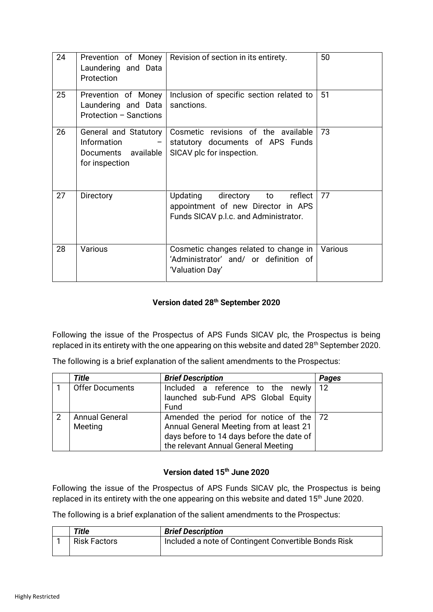| 24 | Prevention of Money<br>Laundering and Data<br>Protection                      | Revision of section in its entirety.                                                                               | 50      |
|----|-------------------------------------------------------------------------------|--------------------------------------------------------------------------------------------------------------------|---------|
| 25 | Prevention of Money<br>Laundering and Data<br>Protection - Sanctions          | Inclusion of specific section related to<br>sanctions.                                                             | 51      |
| 26 | General and Statutory<br>Information<br>Documents available<br>for inspection | Cosmetic revisions of the available<br>statutory documents of APS Funds<br>SICAV plc for inspection.               | 73      |
| 27 | Directory                                                                     | directory to<br>Updating<br>reflect<br>appointment of new Director in APS<br>Funds SICAV p.l.c. and Administrator. | 77      |
| 28 | Various                                                                       | Cosmetic changes related to change in<br>'Administrator' and/ or definition of<br>'Valuation Day'                  | Various |

# **Version dated 28th September 2020**

Following the issue of the Prospectus of APS Funds SICAV plc, the Prospectus is being replaced in its entirety with the one appearing on this website and dated 28<sup>th</sup> September 2020.

The following is a brief explanation of the salient amendments to the Prospectus:

|   | <b>Title</b>           | <b>Brief Description</b>                    | Pages |
|---|------------------------|---------------------------------------------|-------|
|   | <b>Offer Documents</b> | Included a reference to the newly $12$      |       |
|   |                        | launched sub-Fund APS Global Equity         |       |
|   |                        | Fund                                        |       |
| 2 | <b>Annual General</b>  | Amended the period for notice of the $ 72 $ |       |
|   | Meeting                | Annual General Meeting from at least 21     |       |
|   |                        | days before to 14 days before the date of   |       |
|   |                        | the relevant Annual General Meeting         |       |

## **Version dated 15th June 2020**

Following the issue of the Prospectus of APS Funds SICAV plc, the Prospectus is being replaced in its entirety with the one appearing on this website and dated 15<sup>th</sup> June 2020.

The following is a brief explanation of the salient amendments to the Prospectus:

| Title               | <b>Brief Description</b>                             |
|---------------------|------------------------------------------------------|
| <b>Risk Factors</b> | Included a note of Contingent Convertible Bonds Risk |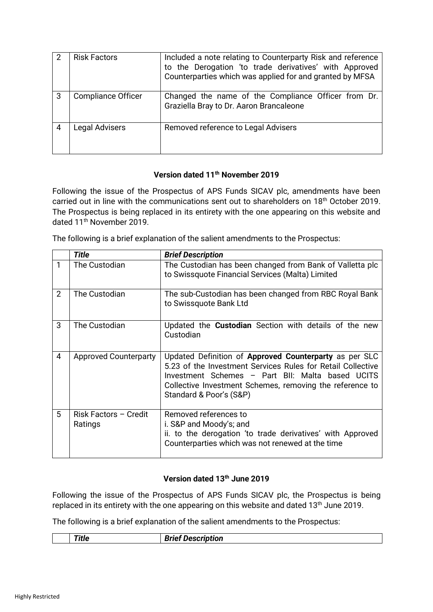|   | <b>Risk Factors</b>       | Included a note relating to Counterparty Risk and reference<br>to the Derogation 'to trade derivatives' with Approved<br>Counterparties which was applied for and granted by MFSA |
|---|---------------------------|-----------------------------------------------------------------------------------------------------------------------------------------------------------------------------------|
| 3 | <b>Compliance Officer</b> | Changed the name of the Compliance Officer from Dr.<br>Graziella Bray to Dr. Aaron Brancaleone                                                                                    |
|   | Legal Advisers            | Removed reference to Legal Advisers                                                                                                                                               |

#### **Version dated 11th November 2019**

Following the issue of the Prospectus of APS Funds SICAV plc, amendments have been carried out in line with the communications sent out to shareholders on 18th October 2019. The Prospectus is being replaced in its entirety with the one appearing on this website and dated 11<sup>th</sup> November 2019.

The following is a brief explanation of the salient amendments to the Prospectus:

|                | <b>Title</b>                     | <b>Brief Description</b>                                                                                                                                                                                                                                         |
|----------------|----------------------------------|------------------------------------------------------------------------------------------------------------------------------------------------------------------------------------------------------------------------------------------------------------------|
| 1              | The Custodian                    | The Custodian has been changed from Bank of Valletta plc<br>to Swissquote Financial Services (Malta) Limited                                                                                                                                                     |
| $\overline{2}$ | The Custodian                    | The sub-Custodian has been changed from RBC Royal Bank<br>to Swissquote Bank Ltd                                                                                                                                                                                 |
| 3              | The Custodian                    | Updated the <b>Custodian</b> Section with details of the new<br>Custodian                                                                                                                                                                                        |
| $\overline{4}$ | <b>Approved Counterparty</b>     | Updated Definition of Approved Counterparty as per SLC<br>5.23 of the Investment Services Rules for Retail Collective<br>Investment Schemes - Part BII: Malta based UCITS<br>Collective Investment Schemes, removing the reference to<br>Standard & Poor's (S&P) |
| 5              | Risk Factors - Credit<br>Ratings | Removed references to<br>i. S&P and Moody's; and<br>ii. to the derogation 'to trade derivatives' with Approved<br>Counterparties which was not renewed at the time                                                                                               |

#### **Version dated 13th June 2019**

Following the issue of the Prospectus of APS Funds SICAV plc, the Prospectus is being replaced in its entirety with the one appearing on this website and dated  $13<sup>th</sup>$  June 2019.

The following is a brief explanation of the salient amendments to the Prospectus:

| __<br> | --<br>.                         |
|--------|---------------------------------|
| .      | 'UUUII<br>.<br>-<br>-----<br>-- |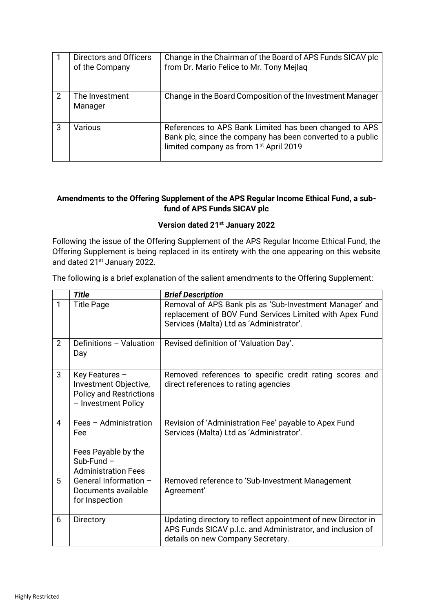|   | Directors and Officers<br>of the Company | Change in the Chairman of the Board of APS Funds SICAV plc<br>from Dr. Mario Felice to Mr. Tony Mejlaq                                                                     |
|---|------------------------------------------|----------------------------------------------------------------------------------------------------------------------------------------------------------------------------|
| 2 | The Investment<br>Manager                | Change in the Board Composition of the Investment Manager                                                                                                                  |
| 3 | Various                                  | References to APS Bank Limited has been changed to APS<br>Bank plc, since the company has been converted to a public<br>limited company as from 1 <sup>st</sup> April 2019 |

## **Amendments to the Offering Supplement of the APS Regular Income Ethical Fund, a subfund of APS Funds SICAV plc**

#### **Version dated 21st January 2022**

Following the issue of the Offering Supplement of the APS Regular Income Ethical Fund, the Offering Supplement is being replaced in its entirety with the one appearing on this website and dated 21<sup>st</sup> January 2022.

The following is a brief explanation of the salient amendments to the Offering Supplement:

|                | <b>Title</b>                                                                                      | <b>Brief Description</b>                                                                                                                                        |
|----------------|---------------------------------------------------------------------------------------------------|-----------------------------------------------------------------------------------------------------------------------------------------------------------------|
| 1              | <b>Title Page</b>                                                                                 | Removal of APS Bank pls as 'Sub-Investment Manager' and<br>replacement of BOV Fund Services Limited with Apex Fund<br>Services (Malta) Ltd as 'Administrator'.  |
| $\overline{2}$ | Definitions - Valuation<br>Day                                                                    | Revised definition of 'Valuation Day'.                                                                                                                          |
| 3              | Key Features -<br>Investment Objective,<br><b>Policy and Restrictions</b><br>- Investment Policy  | Removed references to specific credit rating scores and<br>direct references to rating agencies                                                                 |
| $\overline{4}$ | Fees - Administration<br>Fee<br>Fees Payable by the<br>$Sub-Fund -$<br><b>Administration Fees</b> | Revision of 'Administration Fee' payable to Apex Fund<br>Services (Malta) Ltd as 'Administrator'.                                                               |
| 5              | General Information -<br>Documents available<br>for Inspection                                    | Removed reference to 'Sub-Investment Management<br>Agreement'                                                                                                   |
| 6              | Directory                                                                                         | Updating directory to reflect appointment of new Director in<br>APS Funds SICAV p.l.c. and Administrator, and inclusion of<br>details on new Company Secretary. |